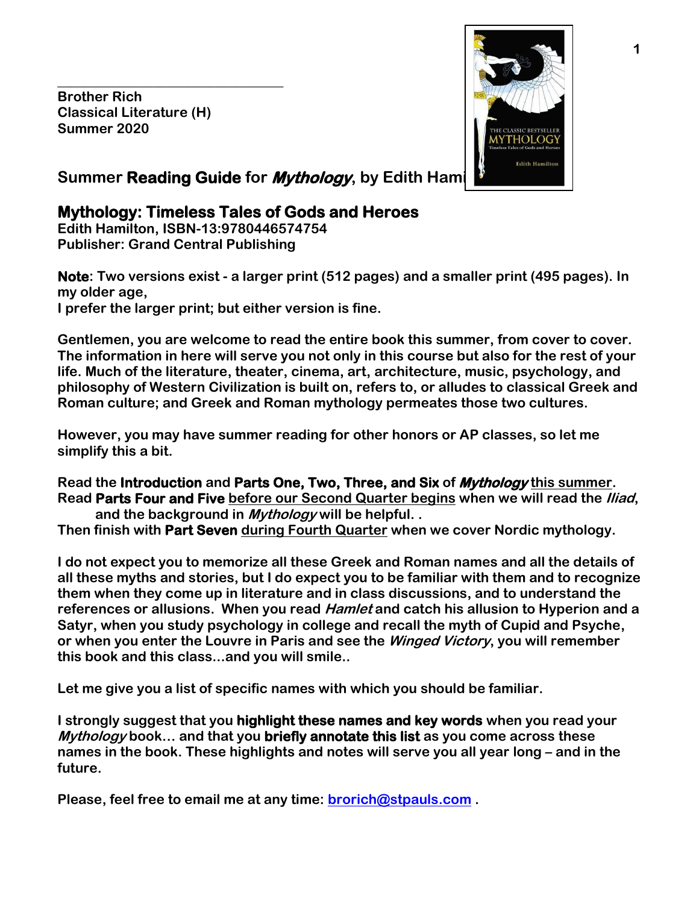**Brother Rich Classical Literature (H) Summer 2020**

**\_\_\_\_\_\_\_\_\_\_\_\_\_\_\_\_\_\_\_\_\_\_\_\_\_\_\_\_\_\_\_\_\_**



# **Summer Reading Guide for Mythology**, by Edith Hami

# **Mythology: Timeless Tales of Gods and Heroes**

**Edith Hamilton, ISBN-13:9780446574754 Publisher: [Grand Central Publishing](http://www.barnesandnoble.com/s/%22Grand%20Central%20Publishing%22?Ntk=Publisher&Ns=P_Sales_Rank&Ntx=mode+matchall)**

**Note: Two versions exist - a larger print (512 pages) and a smaller print (495 pages). In my older age, I prefer the larger print; but either version is fine.**

**Gentlemen, you are welcome to read the entire book this summer, from cover to cover. The information in here will serve you not only in this course but also for the rest of your life. Much of the literature, theater, cinema, art, architecture, music, psychology, and philosophy of Western Civilization is built on, refers to, or alludes to classical Greek and Roman culture; and Greek and Roman mythology permeates those two cultures.**

**However, you may have summer reading for other honors or AP classes, so let me simplify this a bit.**

**Read the Introduction and Parts One, Two, Three, and Six of Mythology this summer. Read Parts Four and Five before our Second Quarter begins when we will read the Iliad, and the background in Mythology will be helpful. .** 

**Then finish with Part Seven during Fourth Quarter when we cover Nordic mythology.**

**I do not expect you to memorize all these Greek and Roman names and all the details of all these myths and stories, but I do expect you to be familiar with them and to recognize them when they come up in literature and in class discussions, and to understand the references or allusions. When you read Hamlet and catch his allusion to Hyperion and a Satyr, when you study psychology in college and recall the myth of Cupid and Psyche, or when you enter the Louvre in Paris and see the Winged Victory, you will remember this book and this class...and you will smile..**

**Let me give you a list of specific names with which you should be familiar.**

**I strongly suggest that you highlight these names and key words when you read your Mythology book… and that you briefly annotate this list as you come across these names in the book. These highlights and notes will serve you all year long – and in the future.**

**Please, feel free to email me at any time: [brorich@stpauls.com](mailto:brorich@stpauls.com) .**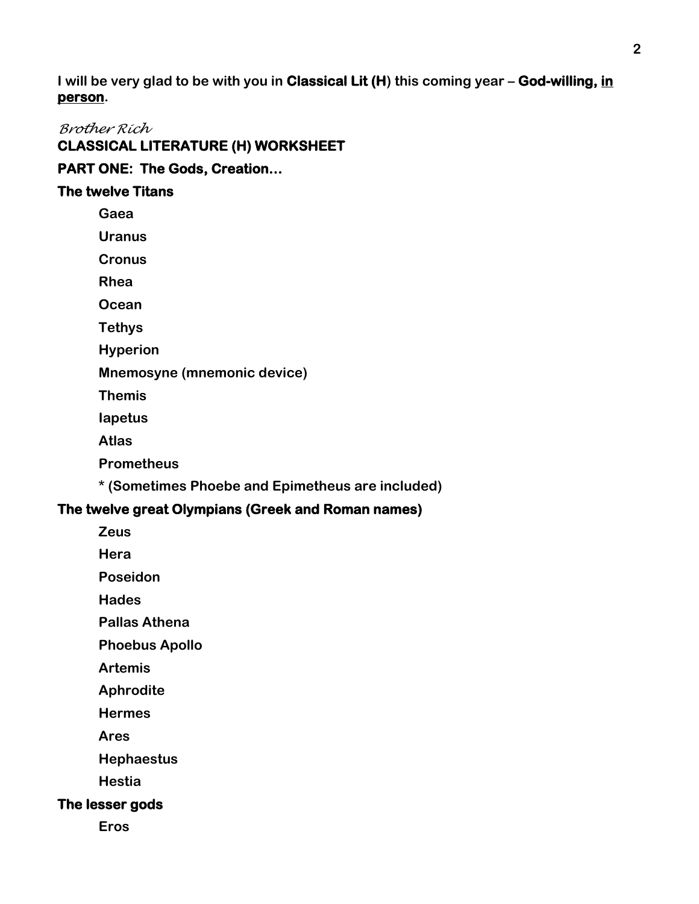**I will be very glad to be with you in Classical Lit (H) this coming year – God-willing, in person.**

# *Brother Rich*

**CLASSICAL LITERATURE (H) WORKSHEET** 

# **PART ONE: The Gods, Creation…**

## **The twelve Titans**

**Gaea**

**Uranus**

**Cronus**

**Rhea**

**Ocean**

**Tethys**

**Hyperion**

**Mnemosyne (mnemonic device)**

**Themis**

**Iapetus**

**Atlas**

**Prometheus**

**\* (Sometimes Phoebe and Epimetheus are included)**

## **The twelve great Olympians (Greek and Roman names)**

**Zeus**

**Hera**

**Poseidon**

**Hades**

**Pallas Athena**

**Phoebus Apollo**

**Artemis**

**Aphrodite**

**Hermes**

**Ares**

**Hephaestus**

**Hestia**

## **The lesser gods**

**Eros**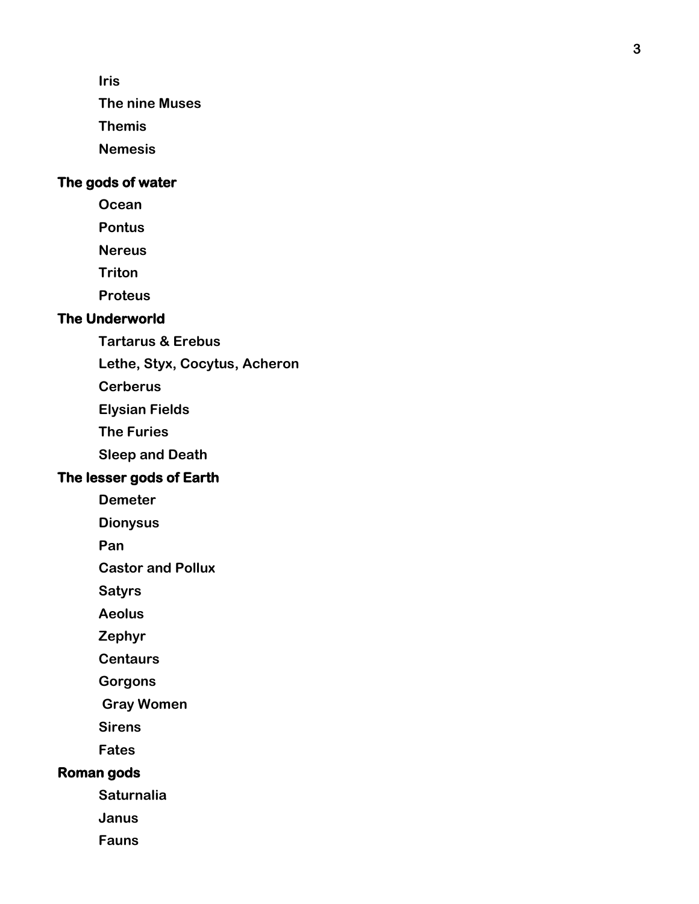**Iris**

**The nine Muses**

**Themis**

**Nemesis** 

## **The gods of water**

**Ocean**

**Pontus**

**Nereus**

**Triton**

**Proteus**

## **The Underworld**

**Tartarus & Erebus**

**Lethe, Styx, Cocytus, Acheron**

**Cerberus**

**Elysian Fields**

**The Furies**

**Sleep and Death**

#### **The lesser gods of Earth**

**Demeter**

**Dionysus**

**Pan**

**Castor and Pollux**

**Satyrs**

**Aeolus**

**Zephyr**

**Centaurs**

**Gorgons**

**Gray Women**

**Sirens**

**Fates**

#### **Roman gods**

**Saturnalia**

**Janus**

**Fauns**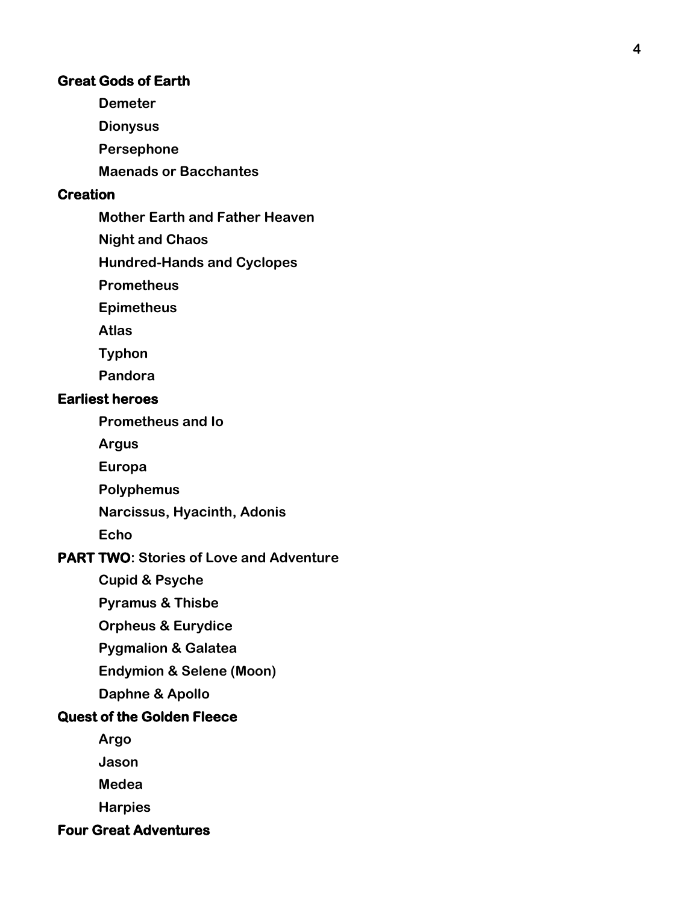#### **Great Gods of Earth**

**Demeter**

**Dionysus**

**Persephone**

**Maenads or Bacchantes**

#### **Creation**

**Mother Earth and Father Heaven**

**Night and Chaos**

**Hundred -Hands and Cyclopes**

**Prometheus**

**Epimetheus**

**Atlas**

**Typhon**

**Pandora**

#### **Earliest heroes**

**Prometheus and Io**

**Argus**

**Europa**

**Polyphemus**

**Narcissus, Hyacinth, Adonis**

**Echo**

#### **PART TWO: Stories of Love and Adventure**

**Cupid & Psyche**

**Pyramus & Thisbe**

**Orpheus & Eurydice**

**Pygmalion & Galatea**

**Endymion & Selene (Moon)**

**Daphne & Apollo**

## **Quest of the Golden Fleece**

**Argo**

**Jason**

**Medea**

**Harpies**

**Four Great Adventures**